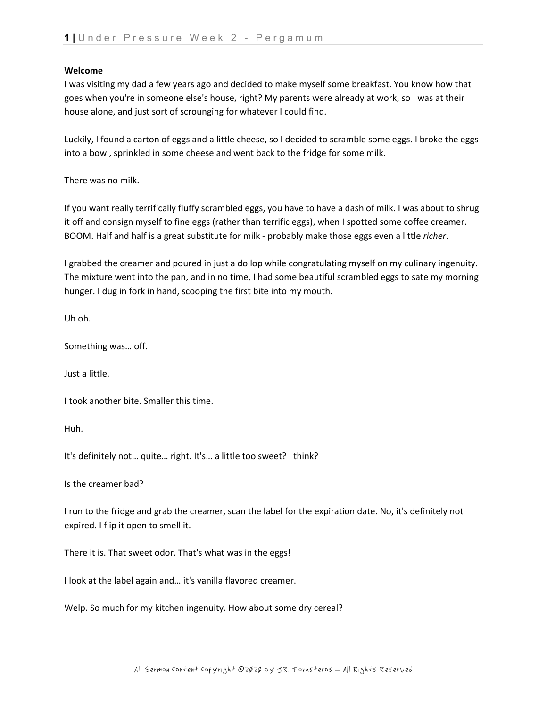### **Welcome**

I was visiting my dad a few years ago and decided to make myself some breakfast. You know how that goes when you're in someone else's house, right? My parents were already at work, so I was at their house alone, and just sort of scrounging for whatever I could find.

Luckily, I found a carton of eggs and a little cheese, so I decided to scramble some eggs. I broke the eggs into a bowl, sprinkled in some cheese and went back to the fridge for some milk.

There was no milk.

If you want really terrifically fluffy scrambled eggs, you have to have a dash of milk. I was about to shrug it off and consign myself to fine eggs (rather than terrific eggs), when I spotted some coffee creamer. BOOM. Half and half is a great substitute for milk - probably make those eggs even a little *richer*.

I grabbed the creamer and poured in just a dollop while congratulating myself on my culinary ingenuity. The mixture went into the pan, and in no time, I had some beautiful scrambled eggs to sate my morning hunger. I dug in fork in hand, scooping the first bite into my mouth.

Uh oh.

Something was… off.

Just a little.

I took another bite. Smaller this time.

Huh.

It's definitely not… quite… right. It's… a little too sweet? I think?

Is the creamer bad?

I run to the fridge and grab the creamer, scan the label for the expiration date. No, it's definitely not expired. I flip it open to smell it.

There it is. That sweet odor. That's what was in the eggs!

I look at the label again and… it's vanilla flavored creamer.

Welp. So much for my kitchen ingenuity. How about some dry cereal?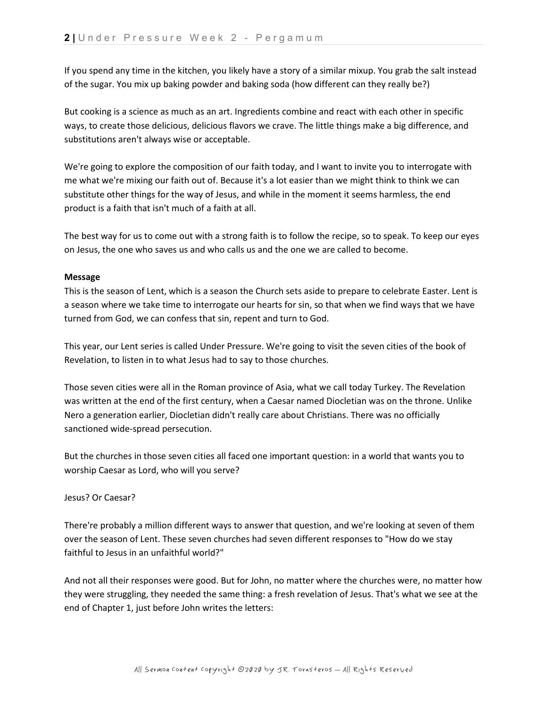If you spend any time in the kitchen, you likely have a story of a similar mixup. You grab the salt instead of the sugar. You mix up baking powder and baking soda (how different can they really be?)

But cooking is a science as much as an art. Ingredients combine and react with each other in specific ways, to create those delicious, delicious flavors we crave. The little things make a big difference, and substitutions aren't always wise or acceptable.

We're going to explore the composition of our faith today, and I want to invite you to interrogate with me what we're mixing our faith out of. Because it's a lot easier than we might think to think we can substitute other things for the way of Jesus, and while in the moment it seems harmless, the end product is a faith that isn't much of a faith at all.

The best way for us to come out with a strong faith is to follow the recipe, so to speak. To keep our eyes on Jesus, the one who saves us and who calls us and the one we are called to become.

# **Message**

This is the season of Lent, which is a season the Church sets aside to prepare to celebrate Easter. Lent is a season where we take time to interrogate our hearts for sin, so that when we find ways that we have turned from God, we can confess that sin, repent and turn to God.

This year, our Lent series is called Under Pressure. We're going to visit the seven cities of the book of Revelation, to listen in to what Jesus had to say to those churches.

Those seven cities were all in the Roman province of Asia, what we call today Turkey. The Revelation was written at the end of the first century, when a Caesar named Diocletian was on the throne. Unlike Nero a generation earlier, Diocletian didn't really care about Christians. There was no officially sanctioned wide-spread persecution.

But the churches in those seven cities all faced one important question: in a world that wants you to worship Caesar as Lord, who will you serve?

# Jesus? Or Caesar?

There're probably a million different ways to answer that question, and we're looking at seven of them over the season of Lent. These seven churches had seven different responses to "How do we stay faithful to Jesus in an unfaithful world?"

And not all their responses were good. But for John, no matter where the churches were, no matter how they were struggling, they needed the same thing: a fresh revelation of Jesus. That's what we see at the end of Chapter 1, just before John writes the letters: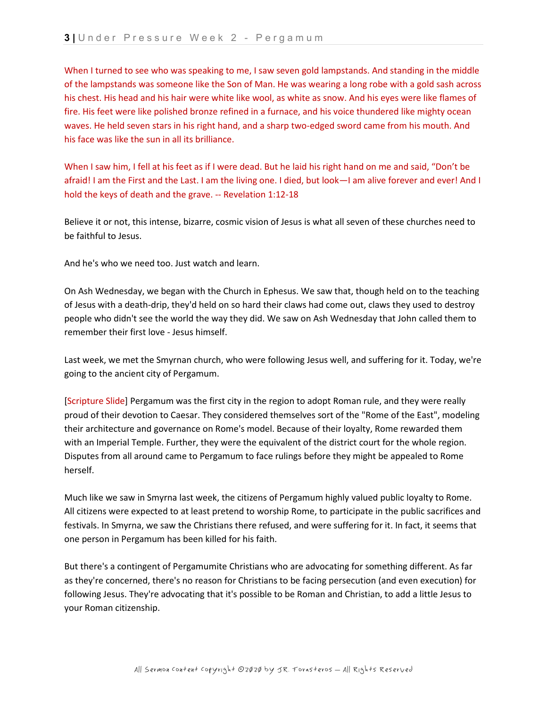When I turned to see who was speaking to me, I saw seven gold lampstands. And standing in the middle of the lampstands was someone like the Son of Man. He was wearing a long robe with a gold sash across his chest. His head and his hair were white like wool, as white as snow. And his eyes were like flames of fire. His feet were like polished bronze refined in a furnace, and his voice thundered like mighty ocean waves. He held seven stars in his right hand, and a sharp two-edged sword came from his mouth. And his face was like the sun in all its brilliance.

When I saw him, I fell at his feet as if I were dead. But he laid his right hand on me and said, "Don't be afraid! I am the First and the Last. I am the living one. I died, but look—I am alive forever and ever! And I hold the keys of death and the grave. -- Revelation 1:12-18

Believe it or not, this intense, bizarre, cosmic vision of Jesus is what all seven of these churches need to be faithful to Jesus.

And he's who we need too. Just watch and learn.

On Ash Wednesday, we began with the Church in Ephesus. We saw that, though held on to the teaching of Jesus with a death-drip, they'd held on so hard their claws had come out, claws they used to destroy people who didn't see the world the way they did. We saw on Ash Wednesday that John called them to remember their first love - Jesus himself.

Last week, we met the Smyrnan church, who were following Jesus well, and suffering for it. Today, we're going to the ancient city of Pergamum.

[Scripture Slide] Pergamum was the first city in the region to adopt Roman rule, and they were really proud of their devotion to Caesar. They considered themselves sort of the "Rome of the East", modeling their architecture and governance on Rome's model. Because of their loyalty, Rome rewarded them with an Imperial Temple. Further, they were the equivalent of the district court for the whole region. Disputes from all around came to Pergamum to face rulings before they might be appealed to Rome herself.

Much like we saw in Smyrna last week, the citizens of Pergamum highly valued public loyalty to Rome. All citizens were expected to at least pretend to worship Rome, to participate in the public sacrifices and festivals. In Smyrna, we saw the Christians there refused, and were suffering for it. In fact, it seems that one person in Pergamum has been killed for his faith.

But there's a contingent of Pergamumite Christians who are advocating for something different. As far as they're concerned, there's no reason for Christians to be facing persecution (and even execution) for following Jesus. They're advocating that it's possible to be Roman and Christian, to add a little Jesus to your Roman citizenship.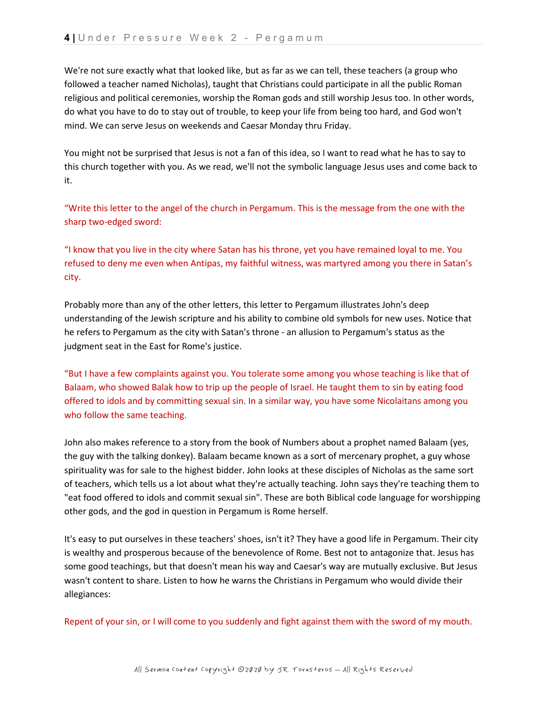We're not sure exactly what that looked like, but as far as we can tell, these teachers (a group who followed a teacher named Nicholas), taught that Christians could participate in all the public Roman religious and political ceremonies, worship the Roman gods and still worship Jesus too. In other words, do what you have to do to stay out of trouble, to keep your life from being too hard, and God won't mind. We can serve Jesus on weekends and Caesar Monday thru Friday.

You might not be surprised that Jesus is not a fan of this idea, so I want to read what he has to say to this church together with you. As we read, we'll not the symbolic language Jesus uses and come back to it.

"Write this letter to the angel of the church in Pergamum. This is the message from the one with the sharp two-edged sword:

"I know that you live in the city where Satan has his throne, yet you have remained loyal to me. You refused to deny me even when Antipas, my faithful witness, was martyred among you there in Satan's city.

Probably more than any of the other letters, this letter to Pergamum illustrates John's deep understanding of the Jewish scripture and his ability to combine old symbols for new uses. Notice that he refers to Pergamum as the city with Satan's throne - an allusion to Pergamum's status as the judgment seat in the East for Rome's justice.

"But I have a few complaints against you. You tolerate some among you whose teaching is like that of Balaam, who showed Balak how to trip up the people of Israel. He taught them to sin by eating food offered to idols and by committing sexual sin. In a similar way, you have some Nicolaitans among you who follow the same teaching.

John also makes reference to a story from the book of Numbers about a prophet named Balaam (yes, the guy with the talking donkey). Balaam became known as a sort of mercenary prophet, a guy whose spirituality was for sale to the highest bidder. John looks at these disciples of Nicholas as the same sort of teachers, which tells us a lot about what they're actually teaching. John says they're teaching them to "eat food offered to idols and commit sexual sin". These are both Biblical code language for worshipping other gods, and the god in question in Pergamum is Rome herself.

It's easy to put ourselves in these teachers' shoes, isn't it? They have a good life in Pergamum. Their city is wealthy and prosperous because of the benevolence of Rome. Best not to antagonize that. Jesus has some good teachings, but that doesn't mean his way and Caesar's way are mutually exclusive. But Jesus wasn't content to share. Listen to how he warns the Christians in Pergamum who would divide their allegiances:

Repent of your sin, or I will come to you suddenly and fight against them with the sword of my mouth.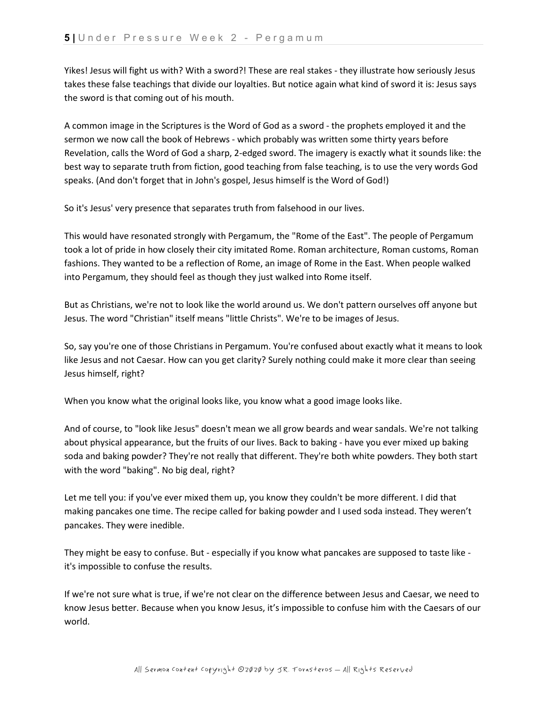Yikes! Jesus will fight us with? With a sword?! These are real stakes - they illustrate how seriously Jesus takes these false teachings that divide our loyalties. But notice again what kind of sword it is: Jesus says the sword is that coming out of his mouth.

A common image in the Scriptures is the Word of God as a sword - the prophets employed it and the sermon we now call the book of Hebrews - which probably was written some thirty years before Revelation, calls the Word of God a sharp, 2-edged sword. The imagery is exactly what it sounds like: the best way to separate truth from fiction, good teaching from false teaching, is to use the very words God speaks. (And don't forget that in John's gospel, Jesus himself is the Word of God!)

So it's Jesus' very presence that separates truth from falsehood in our lives.

This would have resonated strongly with Pergamum, the "Rome of the East". The people of Pergamum took a lot of pride in how closely their city imitated Rome. Roman architecture, Roman customs, Roman fashions. They wanted to be a reflection of Rome, an image of Rome in the East. When people walked into Pergamum, they should feel as though they just walked into Rome itself.

But as Christians, we're not to look like the world around us. We don't pattern ourselves off anyone but Jesus. The word "Christian" itself means "little Christs". We're to be images of Jesus.

So, say you're one of those Christians in Pergamum. You're confused about exactly what it means to look like Jesus and not Caesar. How can you get clarity? Surely nothing could make it more clear than seeing Jesus himself, right?

When you know what the original looks like, you know what a good image looks like.

And of course, to "look like Jesus" doesn't mean we all grow beards and wear sandals. We're not talking about physical appearance, but the fruits of our lives. Back to baking - have you ever mixed up baking soda and baking powder? They're not really that different. They're both white powders. They both start with the word "baking". No big deal, right?

Let me tell you: if you've ever mixed them up, you know they couldn't be more different. I did that making pancakes one time. The recipe called for baking powder and I used soda instead. They weren't pancakes. They were inedible.

They might be easy to confuse. But - especially if you know what pancakes are supposed to taste like it's impossible to confuse the results.

If we're not sure what is true, if we're not clear on the difference between Jesus and Caesar, we need to know Jesus better. Because when you know Jesus, it's impossible to confuse him with the Caesars of our world.